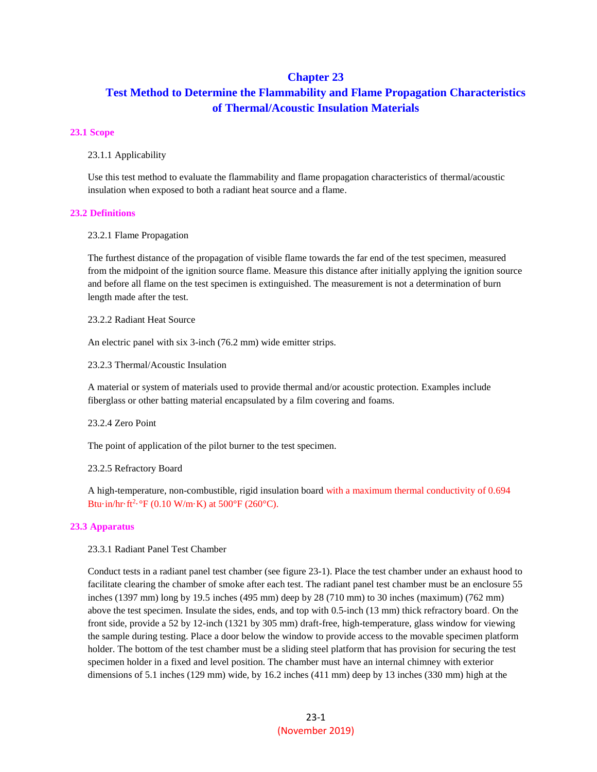# **Chapter 23**

# **Test Method to Determine the Flammability and Flame Propagation Characteristics of Thermal/Acoustic Insulation Materials**

#### **23.1 Scope**

23.1.1 Applicability

Use this test method to evaluate the flammability and flame propagation characteristics of thermal/acoustic insulation when exposed to both a radiant heat source and a flame.

#### **23.2 Definitions**

23.2.1 Flame Propagation

The furthest distance of the propagation of visible flame towards the far end of the test specimen, measured from the midpoint of the ignition source flame. Measure this distance after initially applying the ignition source and before all flame on the test specimen is extinguished. The measurement is not a determination of burn length made after the test.

23.2.2 Radiant Heat Source

An electric panel with six 3-inch (76.2 mm) wide emitter strips.

23.2.3 Thermal/Acoustic Insulation

A material or system of materials used to provide thermal and/or acoustic protection. Examples include fiberglass or other batting material encapsulated by a film covering and foams.

23.2.4 Zero Point

The point of application of the pilot burner to the test specimen.

23.2.5 Refractory Board

A high-temperature, non-combustible, rigid insulation board with a maximum thermal conductivity of 0.694 Btu·in/hr·ft<sup>2</sup>·°F (0.10 W/m·K) at 500°F (260°C).

# **23.3 Apparatus**

23.3.1 Radiant Panel Test Chamber

Conduct tests in a radiant panel test chamber (see figure 23-1). Place the test chamber under an exhaust hood to facilitate clearing the chamber of smoke after each test. The radiant panel test chamber must be an enclosure 55 inches (1397 mm) long by 19.5 inches (495 mm) deep by 28 (710 mm) to 30 inches (maximum) (762 mm) above the test specimen. Insulate the sides, ends, and top with 0.5-inch (13 mm) thick refractory board. On the front side, provide a 52 by 12-inch (1321 by 305 mm) draft-free, high-temperature, glass window for viewing the sample during testing. Place a door below the window to provide access to the movable specimen platform holder. The bottom of the test chamber must be a sliding steel platform that has provision for securing the test specimen holder in a fixed and level position. The chamber must have an internal chimney with exterior dimensions of 5.1 inches (129 mm) wide, by 16.2 inches (411 mm) deep by 13 inches (330 mm) high at the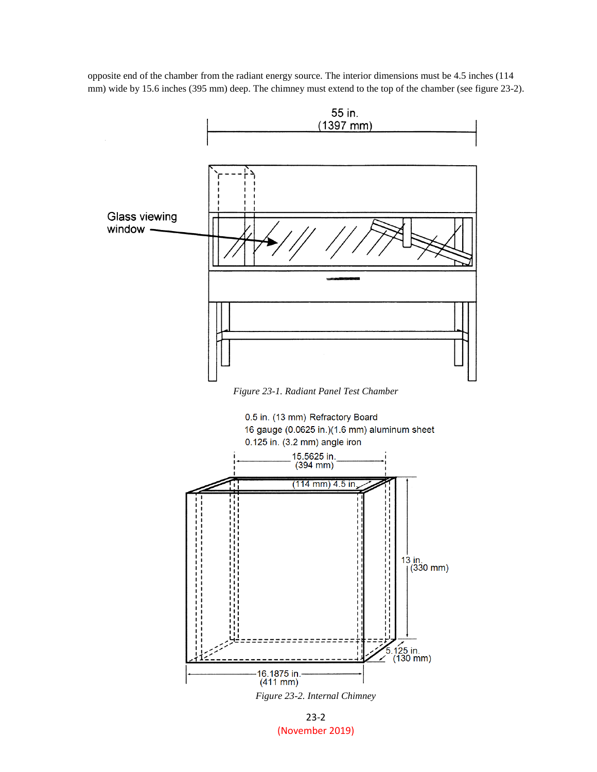opposite end of the chamber from the radiant energy source. The interior dimensions must be 4.5 inches (114 mm) wide by 15.6 inches (395 mm) deep. The chimney must extend to the top of the chamber (see figure 23-2).



*Figure 23-1. Radiant Panel Test Chamber*



*Figure 23-2. Internal Chimney*

23-2 (November 2019)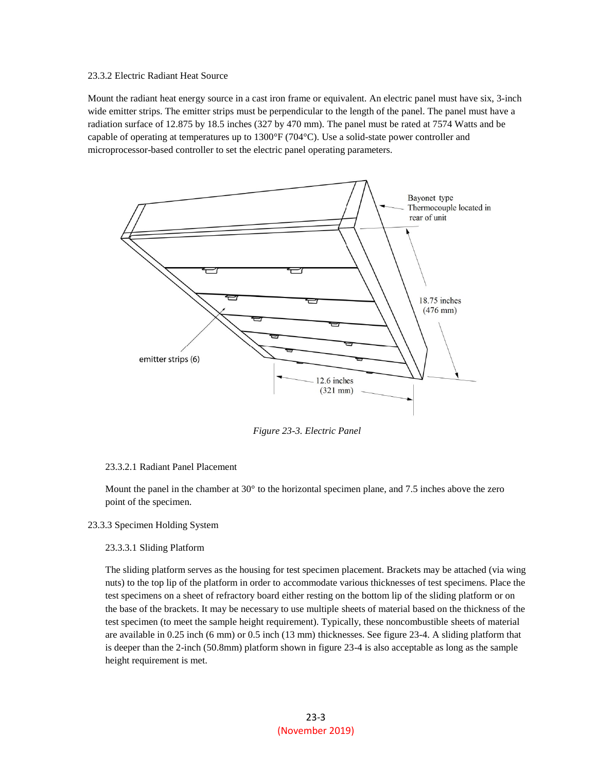# 23.3.2 Electric Radiant Heat Source

Mount the radiant heat energy source in a cast iron frame or equivalent. An electric panel must have six, 3-inch wide emitter strips. The emitter strips must be perpendicular to the length of the panel. The panel must have a radiation surface of 12.875 by 18.5 inches (327 by 470 mm). The panel must be rated at 7574 Watts and be capable of operating at temperatures up to 1300°F (704°C). Use a solid-state power controller and microprocessor-based controller to set the electric panel operating parameters.



*Figure 23-3. Electric Panel*

# 23.3.2.1 Radiant Panel Placement

Mount the panel in the chamber at 30° to the horizontal specimen plane, and 7.5 inches above the zero point of the specimen.

# 23.3.3 Specimen Holding System

# 23.3.3.1 Sliding Platform

The sliding platform serves as the housing for test specimen placement. Brackets may be attached (via wing nuts) to the top lip of the platform in order to accommodate various thicknesses of test specimens. Place the test specimens on a sheet of refractory board either resting on the bottom lip of the sliding platform or on the base of the brackets. It may be necessary to use multiple sheets of material based on the thickness of the test specimen (to meet the sample height requirement). Typically, these noncombustible sheets of material are available in 0.25 inch (6 mm) or 0.5 inch (13 mm) thicknesses. See figure 23-4. A sliding platform that is deeper than the 2-inch (50.8mm) platform shown in figure 23-4 is also acceptable as long as the sample height requirement is met.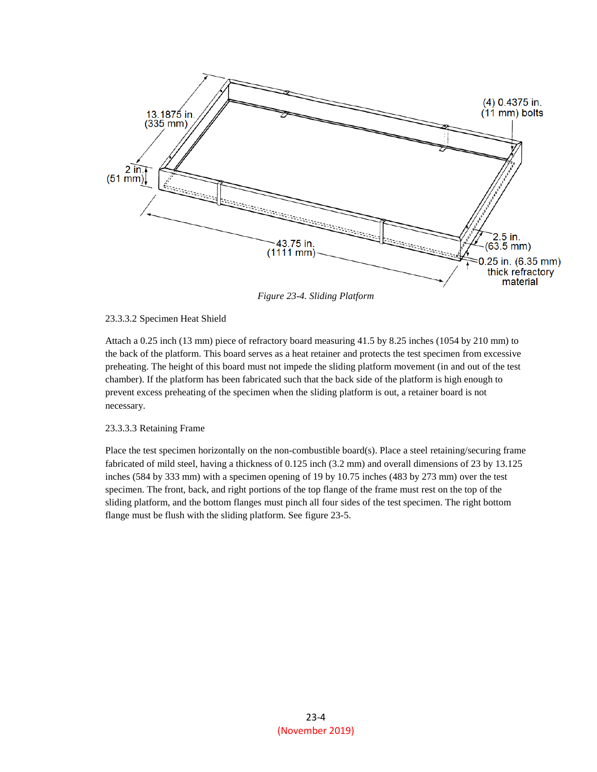

*Figure 23-4. Sliding Platform*

# 23.3.3.2 Specimen Heat Shield

Attach a 0.25 inch (13 mm) piece of refractory board measuring 41.5 by 8.25 inches (1054 by 210 mm) to the back of the platform. This board serves as a heat retainer and protects the test specimen from excessive preheating. The height of this board must not impede the sliding platform movement (in and out of the test chamber). If the platform has been fabricated such that the back side of the platform is high enough to prevent excess preheating of the specimen when the sliding platform is out, a retainer board is not necessary.

# 23.3.3.3 Retaining Frame

Place the test specimen horizontally on the non-combustible board(s). Place a steel retaining/securing frame fabricated of mild steel, having a thickness of 0.125 inch (3.2 mm) and overall dimensions of 23 by 13.125 inches (584 by 333 mm) with a specimen opening of 19 by 10.75 inches (483 by 273 mm) over the test specimen. The front, back, and right portions of the top flange of the frame must rest on the top of the sliding platform, and the bottom flanges must pinch all four sides of the test specimen. The right bottom flange must be flush with the sliding platform. See figure 23-5.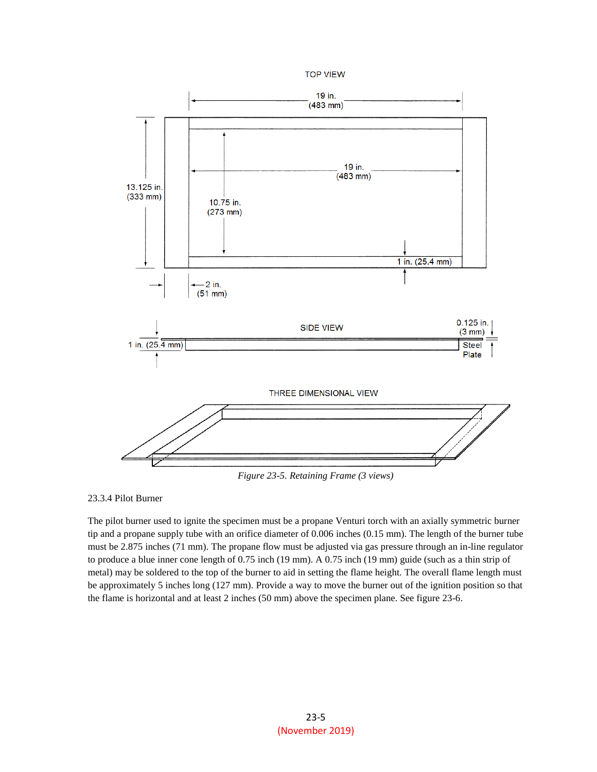



*Figure 23-5. Retaining Frame (3 views)*

23.3.4 Pilot Burner

The pilot burner used to ignite the specimen must be a propane Venturi torch with an axially symmetric burner tip and a propane supply tube with an orifice diameter of 0.006 inches (0.15 mm). The length of the burner tube must be 2.875 inches (71 mm). The propane flow must be adjusted via gas pressure through an in-line regulator to produce a blue inner cone length of 0.75 inch (19 mm). A 0.75 inch (19 mm) guide (such as a thin strip of metal) may be soldered to the top of the burner to aid in setting the flame height. The overall flame length must be approximately 5 inches long (127 mm). Provide a way to move the burner out of the ignition position so that the flame is horizontal and at least 2 inches (50 mm) above the specimen plane. See figure 23-6.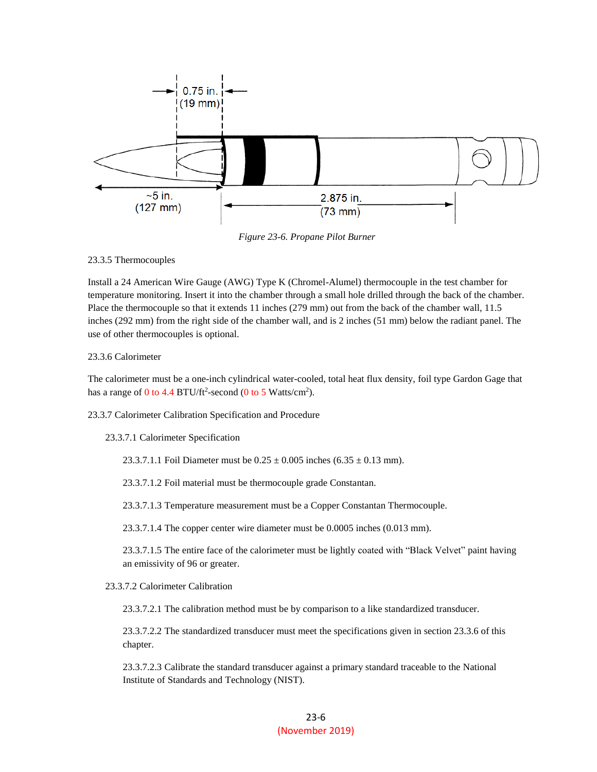

*Figure 23-6. Propane Pilot Burner*

#### 23.3.5 Thermocouples

Install a 24 American Wire Gauge (AWG) Type K (Chromel-Alumel) thermocouple in the test chamber for temperature monitoring. Insert it into the chamber through a small hole drilled through the back of the chamber. Place the thermocouple so that it extends 11 inches (279 mm) out from the back of the chamber wall, 11.5 inches (292 mm) from the right side of the chamber wall, and is 2 inches (51 mm) below the radiant panel. The use of other thermocouples is optional.

# 23.3.6 Calorimeter

The calorimeter must be a one-inch cylindrical water-cooled, total heat flux density, foil type Gardon Gage that has a range of  $0$  to 4.4 BTU/ft<sup>2</sup>-second ( $0$  to 5 Watts/cm<sup>2</sup>).

23.3.7 Calorimeter Calibration Specification and Procedure

23.3.7.1 Calorimeter Specification

23.3.7.1.1 Foil Diameter must be  $0.25 \pm 0.005$  inches  $(6.35 \pm 0.13$  mm).

23.3.7.1.2 Foil material must be thermocouple grade Constantan.

23.3.7.1.3 Temperature measurement must be a Copper Constantan Thermocouple.

23.3.7.1.4 The copper center wire diameter must be 0.0005 inches (0.013 mm).

23.3.7.1.5 The entire face of the calorimeter must be lightly coated with "Black Velvet" paint having an emissivity of 96 or greater.

23.3.7.2 Calorimeter Calibration

23.3.7.2.1 The calibration method must be by comparison to a like standardized transducer.

23.3.7.2.2 The standardized transducer must meet the specifications given in section 23.3.6 of this chapter.

23.3.7.2.3 Calibrate the standard transducer against a primary standard traceable to the National Institute of Standards and Technology (NIST).

# 23-6 (November 2019)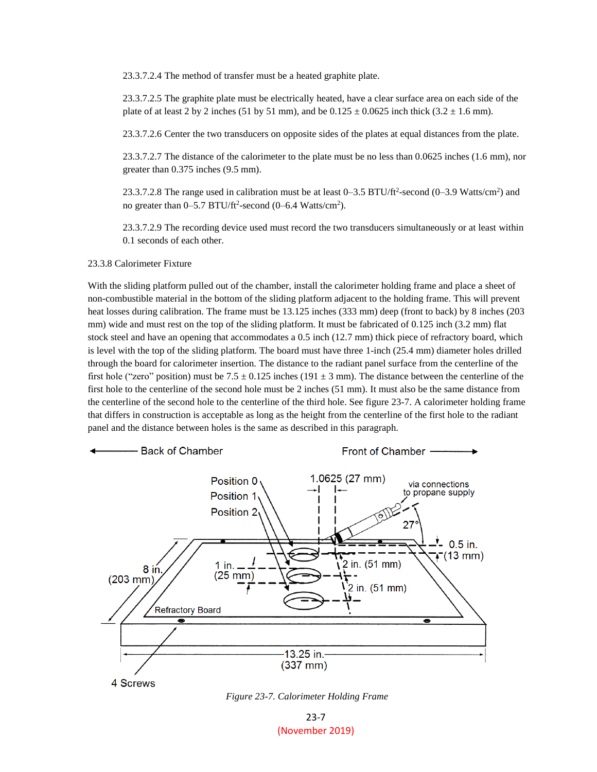23.3.7.2.4 The method of transfer must be a heated graphite plate.

23.3.7.2.5 The graphite plate must be electrically heated, have a clear surface area on each side of the plate of at least 2 by 2 inches (51 by 51 mm), and be  $0.125 \pm 0.0625$  inch thick (3.2  $\pm$  1.6 mm).

23.3.7.2.6 Center the two transducers on opposite sides of the plates at equal distances from the plate.

23.3.7.2.7 The distance of the calorimeter to the plate must be no less than 0.0625 inches (1.6 mm), nor greater than 0.375 inches (9.5 mm).

23.3.7.2.8 The range used in calibration must be at least  $0-3.5$  BTU/ft<sup>2</sup>-second  $(0-3.9$  Watts/cm<sup>2</sup>) and no greater than  $0-5.7$  BTU/ft<sup>2</sup>-second  $(0-6.4$  Watts/cm<sup>2</sup>).

23.3.7.2.9 The recording device used must record the two transducers simultaneously or at least within 0.1 seconds of each other.

# 23.3.8 Calorimeter Fixture

With the sliding platform pulled out of the chamber, install the calorimeter holding frame and place a sheet of non-combustible material in the bottom of the sliding platform adjacent to the holding frame. This will prevent heat losses during calibration. The frame must be 13.125 inches (333 mm) deep (front to back) by 8 inches (203 mm) wide and must rest on the top of the sliding platform. It must be fabricated of 0.125 inch (3.2 mm) flat stock steel and have an opening that accommodates a 0.5 inch (12.7 mm) thick piece of refractory board, which is level with the top of the sliding platform. The board must have three 1-inch (25.4 mm) diameter holes drilled through the board for calorimeter insertion. The distance to the radiant panel surface from the centerline of the first hole ("zero" position) must be 7.5  $\pm$  0.125 inches (191  $\pm$  3 mm). The distance between the centerline of the first hole to the centerline of the second hole must be 2 inches (51 mm). It must also be the same distance from the centerline of the second hole to the centerline of the third hole. See figure 23-7. A calorimeter holding frame that differs in construction is acceptable as long as the height from the centerline of the first hole to the radiant panel and the distance between holes is the same as described in this paragraph.



4 Screws



23-7 (November 2019)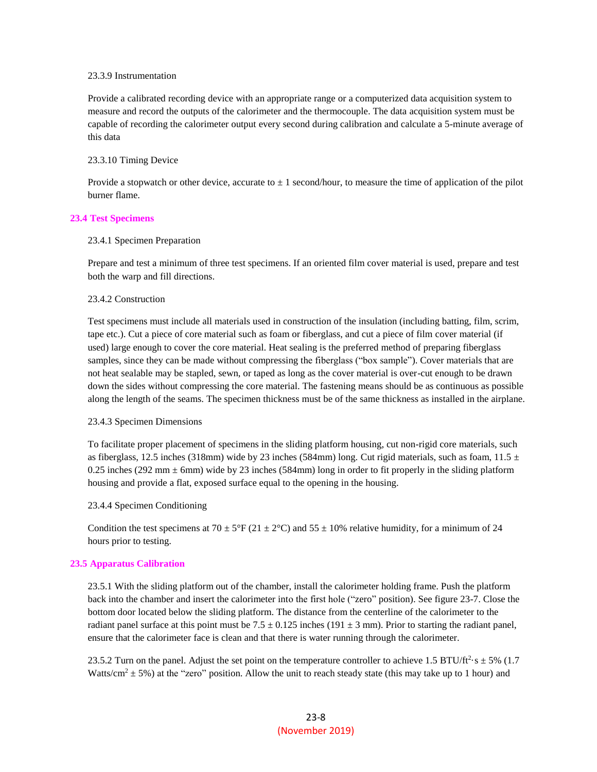# 23.3.9 Instrumentation

Provide a calibrated recording device with an appropriate range or a computerized data acquisition system to measure and record the outputs of the calorimeter and the thermocouple. The data acquisition system must be capable of recording the calorimeter output every second during calibration and calculate a 5-minute average of this data

# 23.3.10 Timing Device

Provide a stopwatch or other device, accurate to  $\pm 1$  second/hour, to measure the time of application of the pilot burner flame.

# **23.4 Test Specimens**

#### 23.4.1 Specimen Preparation

Prepare and test a minimum of three test specimens. If an oriented film cover material is used, prepare and test both the warp and fill directions.

#### 23.4.2 Construction

Test specimens must include all materials used in construction of the insulation (including batting, film, scrim, tape etc.). Cut a piece of core material such as foam or fiberglass, and cut a piece of film cover material (if used) large enough to cover the core material. Heat sealing is the preferred method of preparing fiberglass samples, since they can be made without compressing the fiberglass ("box sample"). Cover materials that are not heat sealable may be stapled, sewn, or taped as long as the cover material is over-cut enough to be drawn down the sides without compressing the core material. The fastening means should be as continuous as possible along the length of the seams. The specimen thickness must be of the same thickness as installed in the airplane.

# 23.4.3 Specimen Dimensions

To facilitate proper placement of specimens in the sliding platform housing, cut non-rigid core materials, such as fiberglass, 12.5 inches (318mm) wide by 23 inches (584mm) long. Cut rigid materials, such as foam,  $11.5 \pm$ 0.25 inches (292 mm  $\pm$  6mm) wide by 23 inches (584mm) long in order to fit properly in the sliding platform housing and provide a flat, exposed surface equal to the opening in the housing.

# 23.4.4 Specimen Conditioning

Condition the test specimens at 70  $\pm$  5°F (21  $\pm$  2°C) and 55  $\pm$  10% relative humidity, for a minimum of 24 hours prior to testing.

# **23.5 Apparatus Calibration**

23.5.1 With the sliding platform out of the chamber, install the calorimeter holding frame. Push the platform back into the chamber and insert the calorimeter into the first hole ("zero" position). See figure 23-7. Close the bottom door located below the sliding platform. The distance from the centerline of the calorimeter to the radiant panel surface at this point must be  $7.5 \pm 0.125$  inches (191  $\pm$  3 mm). Prior to starting the radiant panel, ensure that the calorimeter face is clean and that there is water running through the calorimeter.

23.5.2 Turn on the panel. Adjust the set point on the temperature controller to achieve 1.5 BTU/ft<sup>2</sup> $\cdot$ s  $\pm$  5% (1.7) Watts/cm<sup>2</sup>  $\pm$  5%) at the "zero" position. Allow the unit to reach steady state (this may take up to 1 hour) and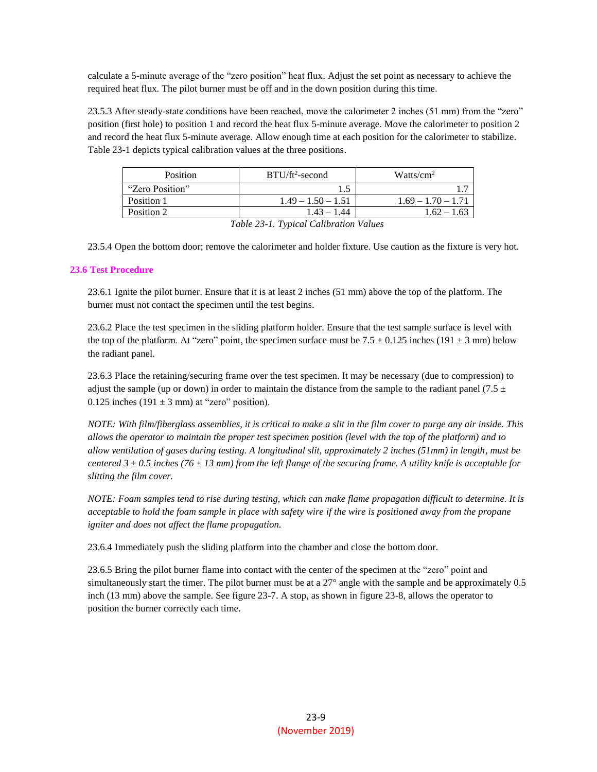calculate a 5-minute average of the "zero position" heat flux. Adjust the set point as necessary to achieve the required heat flux. The pilot burner must be off and in the down position during this time.

23.5.3 After steady-state conditions have been reached, move the calorimeter 2 inches (51 mm) from the "zero" position (first hole) to position 1 and record the heat flux 5-minute average. Move the calorimeter to position 2 and record the heat flux 5-minute average. Allow enough time at each position for the calorimeter to stabilize. Table 23-1 depicts typical calibration values at the three positions.

| Position                           | $BTU/ft2$ -second    | Watts/cm <sup>2</sup> |
|------------------------------------|----------------------|-----------------------|
| "Zero Position"                    |                      |                       |
| Position 1                         | $1.49 - 1.50 - 1.51$ | $1.69 - 1.70 - 1.71$  |
| Position 2                         | $1.43 - 1.44$        | $1.62 - 1.63$         |
| TU 11 22 1 TU 11 CU 11 CU 11 11 12 |                      |                       |

*Table 23-1. Typical Calibration Values*

23.5.4 Open the bottom door; remove the calorimeter and holder fixture. Use caution as the fixture is very hot.

# **23.6 Test Procedure**

23.6.1 Ignite the pilot burner. Ensure that it is at least 2 inches (51 mm) above the top of the platform. The burner must not contact the specimen until the test begins.

23.6.2 Place the test specimen in the sliding platform holder. Ensure that the test sample surface is level with the top of the platform. At "zero" point, the specimen surface must be  $7.5 \pm 0.125$  inches (191  $\pm$  3 mm) below the radiant panel.

23.6.3 Place the retaining/securing frame over the test specimen. It may be necessary (due to compression) to adjust the sample (up or down) in order to maintain the distance from the sample to the radiant panel (7.5  $\pm$ 0.125 inches (191  $\pm$  3 mm) at "zero" position).

*NOTE: With film/fiberglass assemblies, it is critical to make a slit in the film cover to purge any air inside. This allows the operator to maintain the proper test specimen position (level with the top of the platform) and to allow ventilation of gases during testing. A longitudinal slit, approximately 2 inches (51mm) in length, must be centered 3 ± 0.5 inches (76 ± 13 mm) from the left flange of the securing frame. A utility knife is acceptable for slitting the film cover.*

*NOTE: Foam samples tend to rise during testing, which can make flame propagation difficult to determine. It is acceptable to hold the foam sample in place with safety wire if the wire is positioned away from the propane igniter and does not affect the flame propagation.*

23.6.4 Immediately push the sliding platform into the chamber and close the bottom door.

23.6.5 Bring the pilot burner flame into contact with the center of the specimen at the "zero" point and simultaneously start the timer. The pilot burner must be at a 27° angle with the sample and be approximately 0.5 inch (13 mm) above the sample. See figure 23-7. A stop, as shown in figure 23-8, allows the operator to position the burner correctly each time.